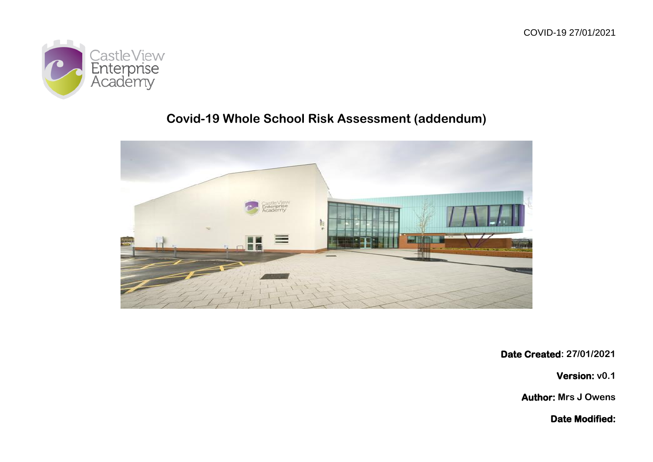

## **Covid-19 Whole School Risk Assessment (addendum)**



**Date Created: 27/01/2021**

**Version: v0.1**

**Author: Mrs J Owens**

**Date Modified:**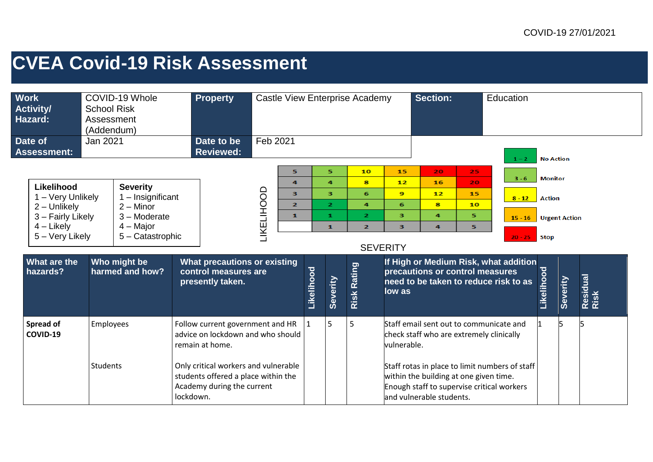## **CVEA Covid-19 Risk Assessment**

| <b>Work</b><br>COVID-19 Whole<br><b>Activity/</b><br><b>School Risk</b><br>Hazard:<br>Assessment<br>(Addendum) |                       |                                                  | <b>Property</b>                                                          |                                                                                                                                  |            |                                     |              | <b>Castle View Enterprise Academy</b> |                           | <b>Section:</b>                 |                                                                                                                  | Education                                                                      |                                                |                      |                  |  |  |
|----------------------------------------------------------------------------------------------------------------|-----------------------|--------------------------------------------------|--------------------------------------------------------------------------|----------------------------------------------------------------------------------------------------------------------------------|------------|-------------------------------------|--------------|---------------------------------------|---------------------------|---------------------------------|------------------------------------------------------------------------------------------------------------------|--------------------------------------------------------------------------------|------------------------------------------------|----------------------|------------------|--|--|
| Date of<br><b>Assessment:</b>                                                                                  | Jan 2021              |                                                  |                                                                          | Date to be<br><b>Reviewed:</b>                                                                                                   | Feb 2021   |                                     |              |                                       |                           |                                 |                                                                                                                  |                                                                                | $1 - 2$                                        | <b>No Action</b>     |                  |  |  |
| Likelihood                                                                                                     |                       | <b>Severity</b>                                  |                                                                          |                                                                                                                                  |            | 5<br>$\overline{a}$                 |              | 5<br>4                                | 10<br>s.                  | 15<br>12                        | 20<br>16                                                                                                         | 25.<br>20.                                                                     | $3 - 6$                                        | <b>Monitor</b>       |                  |  |  |
| 1 - Very Unlikely<br>$2 -$ Unlikely                                                                            |                       | 1 - Insignificant<br>$2 -$ Minor<br>3 - Moderate |                                                                          |                                                                                                                                  | LIKELIHOOD | 3<br>$\overline{2}$<br>$\mathbf{1}$ |              | 3<br>$\overline{2}$<br>$\mathbf{1}$   | 6<br>4<br>$\mathbf{z}$    | $\mathbf{9}$<br>6<br>з          | 12<br>8<br>4                                                                                                     | 15<br>10<br>5.                                                                 | $8 - 12$                                       | <b>Action</b>        |                  |  |  |
| 3 - Fairly Likely<br>$4$ – Likely<br>5 - Very Likely                                                           |                       | $4 -$ Major<br>5 - Catastrophic                  |                                                                          |                                                                                                                                  |            |                                     | $\mathbf{1}$ | $\overline{2}$                        | з                         | 5.<br>4                         |                                                                                                                  | $15 - 16$<br>$20 - 25$                                                         | <b>Stop</b>                                    | <b>Urgent Action</b> |                  |  |  |
| What are the<br>Who might be<br>harmed and how?<br>hazards?                                                    |                       |                                                  | What precautions or existing<br>control measures are<br>presently taken. |                                                                                                                                  |            | Likelihood                          | Severity     | Risk Rating                           | <b>SEVERITY</b><br>low as | precautions or control measures |                                                                                                                  | If High or Medium Risk, what addition<br>need to be taken to reduce risk to as | Likelihood                                     | Severity             | Residual<br>Risk |  |  |
| Spread of<br>COVID-19                                                                                          | Employees<br>Students |                                                  |                                                                          | Follow current government and HR<br>advice on lockdown and who should<br>remain at home.<br>Only critical workers and vulnerable |            |                                     |              | 5                                     | 5                         | vulnerable.                     | Staff email sent out to communicate and<br>check staff who are extremely clinically                              |                                                                                | Staff rotas in place to limit numbers of staff |                      |                  |  |  |
|                                                                                                                |                       |                                                  |                                                                          | students offered a place within the<br>Academy during the current<br>lockdown.                                                   |            |                                     |              |                                       |                           |                                 | within the building at one given time.<br>Enough staff to supervise critical workers<br>and vulnerable students. |                                                                                |                                                |                      |                  |  |  |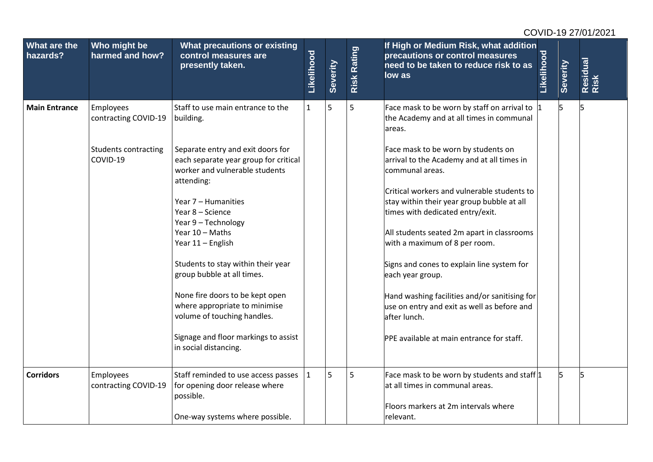| Who might be<br><b>What precautions or existing</b><br>harmed and how?<br>control measures are<br>presently taken.<br>Staff to use main entrance to the<br>building.<br>contracting COVID-19<br><b>Students contracting</b><br>Separate entry and exit doors for | Likelihood<br>$\mathbf{1}$ | Severity<br>5                                                                                                        | <b>Risk Rating</b><br>5 | If High or Medium Risk, what addition<br>precautions or control measures<br>need to be taken to reduce risk to as<br>low as<br>Face mask to be worn by staff on arrival to | Likelihood                                 | Severity<br>5                                                                                                                                     | Residual<br>Risk<br>5 |
|------------------------------------------------------------------------------------------------------------------------------------------------------------------------------------------------------------------------------------------------------------------|----------------------------|----------------------------------------------------------------------------------------------------------------------|-------------------------|----------------------------------------------------------------------------------------------------------------------------------------------------------------------------|--------------------------------------------|---------------------------------------------------------------------------------------------------------------------------------------------------|-----------------------|
|                                                                                                                                                                                                                                                                  |                            |                                                                                                                      |                         |                                                                                                                                                                            |                                            |                                                                                                                                                   |                       |
|                                                                                                                                                                                                                                                                  |                            |                                                                                                                      |                         | the Academy and at all times in communal<br>areas.                                                                                                                         |                                            |                                                                                                                                                   |                       |
| worker and vulnerable students<br>attending:                                                                                                                                                                                                                     |                            |                                                                                                                      |                         | Face mask to be worn by students on<br>arrival to the Academy and at all times in<br>communal areas.<br>Critical workers and vulnerable students to                        |                                            |                                                                                                                                                   |                       |
| Year 8 - Science<br>Year 9 - Technology<br>Year 10 - Maths<br>Year 11 - English                                                                                                                                                                                  |                            |                                                                                                                      |                         | times with dedicated entry/exit.<br>All students seated 2m apart in classrooms<br>with a maximum of 8 per room.                                                            |                                            |                                                                                                                                                   |                       |
| Students to stay within their year<br>group bubble at all times.                                                                                                                                                                                                 |                            |                                                                                                                      |                         | Signs and cones to explain line system for<br>each year group.                                                                                                             |                                            |                                                                                                                                                   |                       |
| None fire doors to be kept open<br>where appropriate to minimise<br>volume of touching handles.                                                                                                                                                                  |                            |                                                                                                                      |                         | use on entry and exit as well as before and<br>after lunch.                                                                                                                |                                            |                                                                                                                                                   |                       |
| in social distancing.                                                                                                                                                                                                                                            |                            |                                                                                                                      |                         | PPE available at main entrance for staff.                                                                                                                                  |                                            |                                                                                                                                                   |                       |
| contracting COVID-19<br>for opening door release where<br>possible.                                                                                                                                                                                              | $\mathbf{1}$               | 5                                                                                                                    | 5                       | at all times in communal areas.<br>Floors markers at 2m intervals where                                                                                                    |                                            | 5                                                                                                                                                 | 5                     |
|                                                                                                                                                                                                                                                                  | Year 7 - Humanities        | each separate year group for critical<br>Signage and floor markings to assist<br>Staff reminded to use access passes |                         |                                                                                                                                                                            | stay within their year group bubble at all | Hand washing facilities and/or sanitising for<br>Face mask to be worn by students and staff $ 1 $<br>One-way systems where possible.<br>relevant. |                       |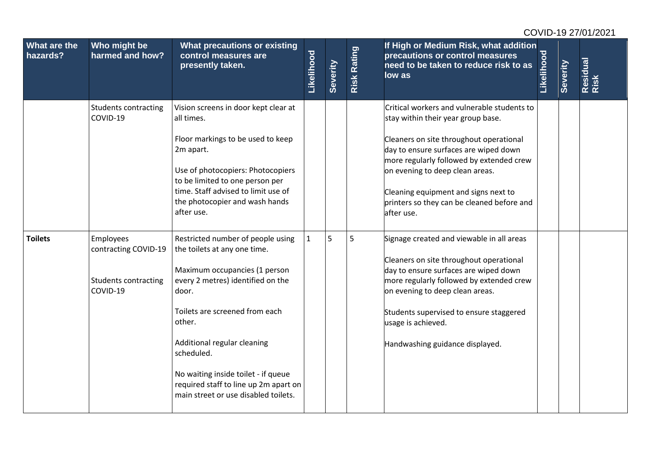|                          |                                                                              |                                                                                                                                                                                                                                                                                                                                                                   |              |          |                    |                                                                                                                                                                                                                                                                                                                                                          |            |          | COVID-19 27/01/2021 |
|--------------------------|------------------------------------------------------------------------------|-------------------------------------------------------------------------------------------------------------------------------------------------------------------------------------------------------------------------------------------------------------------------------------------------------------------------------------------------------------------|--------------|----------|--------------------|----------------------------------------------------------------------------------------------------------------------------------------------------------------------------------------------------------------------------------------------------------------------------------------------------------------------------------------------------------|------------|----------|---------------------|
| What are the<br>hazards? | Who might be<br>harmed and how?                                              | What precautions or existing<br>control measures are<br>presently taken.                                                                                                                                                                                                                                                                                          | Likelihood   | Severity | <b>Risk Rating</b> | If High or Medium Risk, what addition<br>precautions or control measures<br>need to be taken to reduce risk to as<br>low as                                                                                                                                                                                                                              | Likelihood | Severity | Residual<br>Risk    |
|                          | <b>Students contracting</b><br>COVID-19                                      | Vision screens in door kept clear at<br>all times.<br>Floor markings to be used to keep<br>2m apart.<br>Use of photocopiers: Photocopiers<br>to be limited to one person per<br>time. Staff advised to limit use of<br>the photocopier and wash hands<br>after use.                                                                                               |              |          |                    | Critical workers and vulnerable students to<br>stay within their year group base.<br>Cleaners on site throughout operational<br>day to ensure surfaces are wiped down<br>more regularly followed by extended crew<br>on evening to deep clean areas.<br>Cleaning equipment and signs next to<br>printers so they can be cleaned before and<br>after use. |            |          |                     |
| <b>Toilets</b>           | Employees<br>contracting COVID-19<br><b>Students contracting</b><br>COVID-19 | Restricted number of people using<br>the toilets at any one time.<br>Maximum occupancies (1 person<br>every 2 metres) identified on the<br>door.<br>Toilets are screened from each<br>other.<br>Additional regular cleaning<br>scheduled.<br>No waiting inside toilet - if queue<br>required staff to line up 2m apart on<br>main street or use disabled toilets. | $\mathbf{1}$ | 5        | 5                  | Signage created and viewable in all areas<br>Cleaners on site throughout operational<br>day to ensure surfaces are wiped down<br>more regularly followed by extended crew<br>on evening to deep clean areas.<br>Students supervised to ensure staggered<br>usage is achieved.<br>Handwashing guidance displayed.                                         |            |          |                     |